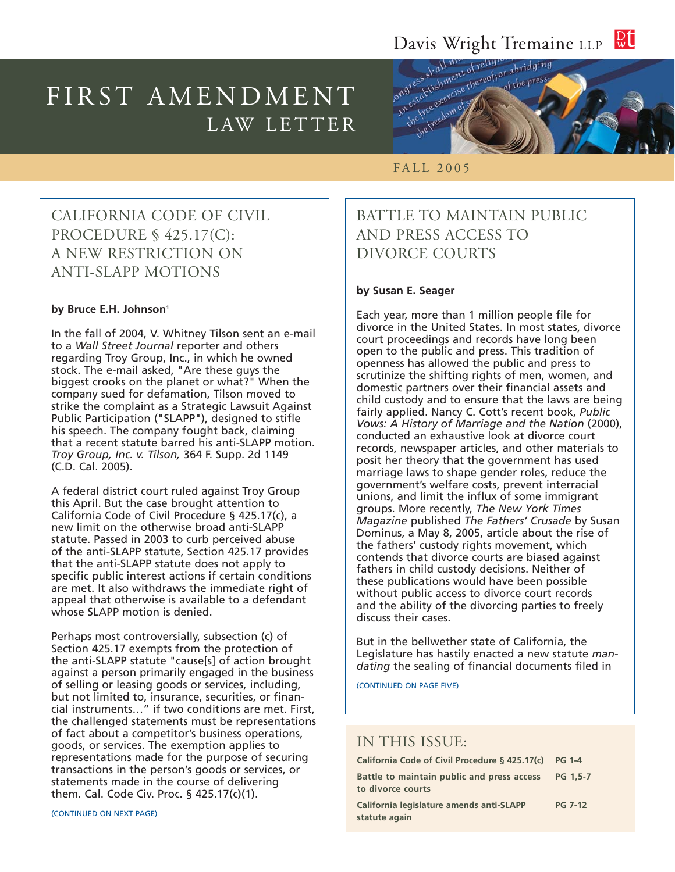#### $\mathbb{R} \mathbb{U}$ Davis Wright Tremaine LLP

# FIRST AMENDMENT LAW LETTER



# FALL 2005

## CALIFORNIA CODE OF CIVIL PROCEDURE § 425.17(C): A NEW RESTRICTION ON ANTI-SLAPP MOTIONS

#### by Bruce E.H. Johnson<sup>1</sup>

In the fall of 2004, V. Whitney Tilson sent an e-mail to a *Wall Street Journal* reporter and others regarding Troy Group, Inc., in which he owned stock. The e-mail asked, "Are these guys the biggest crooks on the planet or what?" When the company sued for defamation, Tilson moved to strike the complaint as a Strategic Lawsuit Against Public Participation ("SLAPP"), designed to stifle his speech. The company fought back, claiming that a recent statute barred his anti-SLAPP motion. *Troy Group, Inc. v. Tilson,* 364 F. Supp. 2d 1149 (C.D. Cal. 2005).

A federal district court ruled against Troy Group this April. But the case brought attention to California Code of Civil Procedure § 425.17(c), a new limit on the otherwise broad anti-SLAPP statute. Passed in 2003 to curb perceived abuse of the anti-SLAPP statute, Section 425.17 provides that the anti-SLAPP statute does not apply to specific public interest actions if certain conditions are met. It also withdraws the immediate right of appeal that otherwise is available to a defendant whose SLAPP motion is denied.

Perhaps most controversially, subsection (c) of Section 425.17 exempts from the protection of the anti-SLAPP statute "cause[s] of action brought against a person primarily engaged in the business of selling or leasing goods or services, including, but not limited to, insurance, securities, or financial instruments…" if two conditions are met. First, the challenged statements must be representations of fact about a competitor's business operations, goods, or services. The exemption applies to representations made for the purpose of securing transactions in the person's goods or services, or statements made in the course of delivering them. Cal. Code Civ. Proc. § 425.17(c)(1).

# BATTLE TO MAINTAIN PUBLIC AND PRESS ACCESS TO DIVORCE COURTS

#### **by Susan E. Seager**

Each year, more than 1 million people file for divorce in the United States. In most states, divorce court proceedings and records have long been open to the public and press. This tradition of openness has allowed the public and press to scrutinize the shifting rights of men, women, and domestic partners over their financial assets and child custody and to ensure that the laws are being fairly applied. Nancy C. Cott's recent book, *Public Vows: A History of Marriage and the Nation* (2000), conducted an exhaustive look at divorce court records, newspaper articles, and other materials to posit her theory that the government has used marriage laws to shape gender roles, reduce the government's welfare costs, prevent interracial unions, and limit the influx of some immigrant groups. More recently, *The New York Times Magazine* published *The Fathers' Crusade* by Susan Dominus, a May 8, 2005, article about the rise of the fathers' custody rights movement, which contends that divorce courts are biased against fathers in child custody decisions. Neither of these publications would have been possible without public access to divorce court records and the ability of the divorcing parties to freely discuss their cases.

But in the bellwether state of California, the Legislature has hastily enacted a new statute *mandating* the sealing of financial documents filed in

(CONTINUED ON PAGE FIVE)

#### IN THIS ISSUE:

| California Code of Civil Procedure § 425.17(c)                  | <b>PG 1-4</b>  |
|-----------------------------------------------------------------|----------------|
| Battle to maintain public and press access<br>to divorce courts | PG 1.5-7       |
| California legislature amends anti-SLAPP<br>statute again       | <b>PG 7-12</b> |

(CONTINUED ON NEXT PAGE)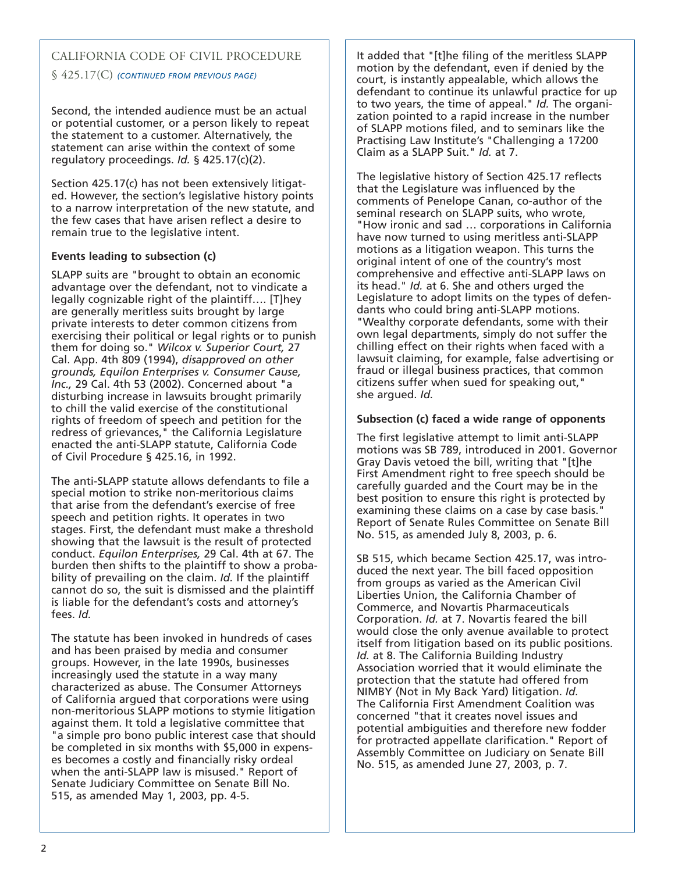# CALIFORNIA CODE OF CIVIL PROCEDURE

§ 425.17(C) *(CONTINUED FROM PREVIOUS PAGE)*

Second, the intended audience must be an actual or potential customer, or a person likely to repeat the statement to a customer. Alternatively, the statement can arise within the context of some regulatory proceedings. *Id.* § 425.17(c)(2).

Section 425.17(c) has not been extensively litigated. However, the section's legislative history points to a narrow interpretation of the new statute, and the few cases that have arisen reflect a desire to remain true to the legislative intent.

#### **Events leading to subsection (c)**

SLAPP suits are "brought to obtain an economic advantage over the defendant, not to vindicate a legally cognizable right of the plaintiff…. [T]hey are generally meritless suits brought by large private interests to deter common citizens from exercising their political or legal rights or to punish them for doing so." *Wilcox v. Superior Court,* 27 Cal. App. 4th 809 (1994), *disapproved on other grounds, Equilon Enterprises v. Consumer Cause, Inc.,* 29 Cal. 4th 53 (2002). Concerned about "a disturbing increase in lawsuits brought primarily to chill the valid exercise of the constitutional rights of freedom of speech and petition for the redress of grievances," the California Legislature enacted the anti-SLAPP statute, California Code of Civil Procedure § 425.16, in 1992.

The anti-SLAPP statute allows defendants to file a special motion to strike non-meritorious claims that arise from the defendant's exercise of free speech and petition rights. It operates in two stages. First, the defendant must make a threshold showing that the lawsuit is the result of protected conduct. *Equilon Enterprises,* 29 Cal. 4th at 67. The burden then shifts to the plaintiff to show a probability of prevailing on the claim. *Id.* If the plaintiff cannot do so, the suit is dismissed and the plaintiff is liable for the defendant's costs and attorney's fees. *Id.*

The statute has been invoked in hundreds of cases and has been praised by media and consumer groups. However, in the late 1990s, businesses increasingly used the statute in a way many characterized as abuse. The Consumer Attorneys of California argued that corporations were using non-meritorious SLAPP motions to stymie litigation against them. It told a legislative committee that "a simple pro bono public interest case that should be completed in six months with \$5,000 in expenses becomes a costly and financially risky ordeal when the anti-SLAPP law is misused." Report of Senate Judiciary Committee on Senate Bill No. 515, as amended May 1, 2003, pp. 4-5.

It added that "[t]he filing of the meritless SLAPP motion by the defendant, even if denied by the court, is instantly appealable, which allows the defendant to continue its unlawful practice for up to two years, the time of appeal." *Id.* The organization pointed to a rapid increase in the number of SLAPP motions filed, and to seminars like the Practising Law Institute's "Challenging a 17200 Claim as a SLAPP Suit." *Id.* at 7.

The legislative history of Section 425.17 reflects that the Legislature was influenced by the comments of Penelope Canan, co-author of the seminal research on SLAPP suits, who wrote, "How ironic and sad … corporations in California have now turned to using meritless anti-SLAPP motions as a litigation weapon. This turns the original intent of one of the country's most comprehensive and effective anti-SLAPP laws on its head." *Id.* at 6. She and others urged the Legislature to adopt limits on the types of defendants who could bring anti-SLAPP motions. "Wealthy corporate defendants, some with their own legal departments, simply do not suffer the chilling effect on their rights when faced with a lawsuit claiming, for example, false advertising or fraud or illegal business practices, that common citizens suffer when sued for speaking out," she argued. *Id.*

#### **Subsection (c) faced a wide range of opponents**

The first legislative attempt to limit anti-SLAPP motions was SB 789, introduced in 2001. Governor Gray Davis vetoed the bill, writing that "[t]he First Amendment right to free speech should be carefully guarded and the Court may be in the best position to ensure this right is protected by examining these claims on a case by case basis. Report of Senate Rules Committee on Senate Bill No. 515, as amended July 8, 2003, p. 6.

SB 515, which became Section 425.17, was introduced the next year. The bill faced opposition from groups as varied as the American Civil Liberties Union, the California Chamber of Commerce, and Novartis Pharmaceuticals Corporation. *Id.* at 7. Novartis feared the bill would close the only avenue available to protect itself from litigation based on its public positions. *Id.* at 8. The California Building Industry Association worried that it would eliminate the protection that the statute had offered from NIMBY (Not in My Back Yard) litigation. *Id.* The California First Amendment Coalition was concerned "that it creates novel issues and potential ambiguities and therefore new fodder for protracted appellate clarification." Report of Assembly Committee on Judiciary on Senate Bill No. 515, as amended June 27, 2003, p. 7.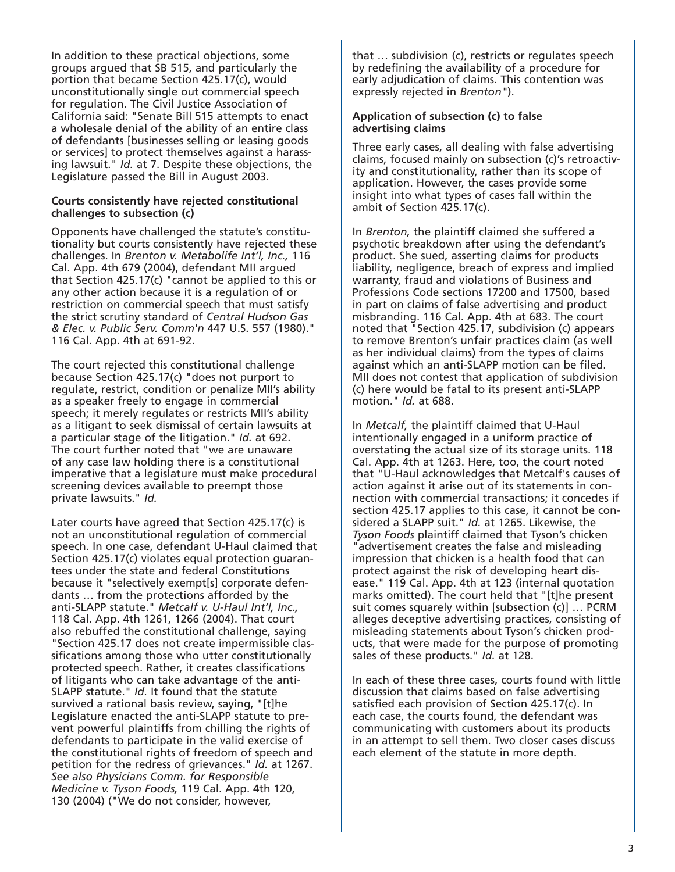In addition to these practical objections, some groups argued that SB 515, and particularly the portion that became Section 425.17(c), would unconstitutionally single out commercial speech for regulation. The Civil Justice Association of California said: "Senate Bill 515 attempts to enact a wholesale denial of the ability of an entire class of defendants [businesses selling or leasing goods or services] to protect themselves against a harassing lawsuit." *Id.* at 7. Despite these objections, the Legislature passed the Bill in August 2003.

#### **Courts consistently have rejected constitutional challenges to subsection (c)**

Opponents have challenged the statute's constitutionality but courts consistently have rejected these challenges. In *Brenton v. Metabolife Int'l, Inc.,* 116 Cal. App. 4th 679 (2004), defendant MII argued that Section 425.17(c) "cannot be applied to this or any other action because it is a regulation of or restriction on commercial speech that must satisfy the strict scrutiny standard of *Central Hudson Gas & Elec. v. Public Serv. Comm'n* 447 U.S. 557 (1980)." 116 Cal. App. 4th at 691-92.

The court rejected this constitutional challenge because Section 425.17(c) "does not purport to regulate, restrict, condition or penalize MII's ability as a speaker freely to engage in commercial speech; it merely regulates or restricts MII's ability as a litigant to seek dismissal of certain lawsuits at a particular stage of the litigation." *Id.* at 692. The court further noted that "we are unaware of any case law holding there is a constitutional imperative that a legislature must make procedural screening devices available to preempt those private lawsuits." *Id.*

Later courts have agreed that Section 425.17(c) is not an unconstitutional regulation of commercial speech. In one case, defendant U-Haul claimed that Section 425.17(c) violates equal protection guarantees under the state and federal Constitutions because it "selectively exempt[s] corporate defendants … from the protections afforded by the anti-SLAPP statute." *Metcalf v. U-Haul Int'l, Inc.,* 118 Cal. App. 4th 1261, 1266 (2004). That court also rebuffed the constitutional challenge, saying "Section 425.17 does not create impermissible classifications among those who utter constitutionally protected speech. Rather, it creates classifications of litigants who can take advantage of the anti-SLAPP statute." *Id.* It found that the statute survived a rational basis review, saying, "[t]he Legislature enacted the anti-SLAPP statute to prevent powerful plaintiffs from chilling the rights of defendants to participate in the valid exercise of the constitutional rights of freedom of speech and petition for the redress of grievances." *Id.* at 1267. *See also Physicians Comm. for Responsible Medicine v. Tyson Foods,* 119 Cal. App. 4th 120, 130 (2004) ("We do not consider, however,

that … subdivision (c), restricts or regulates speech by redefining the availability of a procedure for early adjudication of claims. This contention was expressly rejected in *Brenton"*).

#### **Application of subsection (c) to false advertising claims**

Three early cases, all dealing with false advertising claims, focused mainly on subsection (c)'s retroactivity and constitutionality, rather than its scope of application. However, the cases provide some insight into what types of cases fall within the ambit of Section 425.17(c).

In *Brenton,* the plaintiff claimed she suffered a psychotic breakdown after using the defendant's product. She sued, asserting claims for products liability, negligence, breach of express and implied warranty, fraud and violations of Business and Professions Code sections 17200 and 17500, based in part on claims of false advertising and product misbranding. 116 Cal. App. 4th at 683. The court noted that "Section 425.17, subdivision (c) appears to remove Brenton's unfair practices claim (as well as her individual claims) from the types of claims against which an anti-SLAPP motion can be filed. MII does not contest that application of subdivision (c) here would be fatal to its present anti-SLAPP motion." *Id.* at 688.

In *Metcalf,* the plaintiff claimed that U-Haul intentionally engaged in a uniform practice of overstating the actual size of its storage units. 118 Cal. App. 4th at 1263. Here, too, the court noted that "U-Haul acknowledges that Metcalf's causes of action against it arise out of its statements in connection with commercial transactions; it concedes if section 425.17 applies to this case, it cannot be considered a SLAPP suit." *Id.* at 1265. Likewise, the *Tyson Foods* plaintiff claimed that Tyson's chicken "advertisement creates the false and misleading impression that chicken is a health food that can protect against the risk of developing heart disease." 119 Cal. App. 4th at 123 (internal quotation marks omitted). The court held that "[t]he present suit comes squarely within [subsection (c)] … PCRM alleges deceptive advertising practices, consisting of misleading statements about Tyson's chicken products, that were made for the purpose of promoting sales of these products." *Id.* at 128.

In each of these three cases, courts found with little discussion that claims based on false advertising satisfied each provision of Section 425.17(c). In each case, the courts found, the defendant was communicating with customers about its products in an attempt to sell them. Two closer cases discuss each element of the statute in more depth.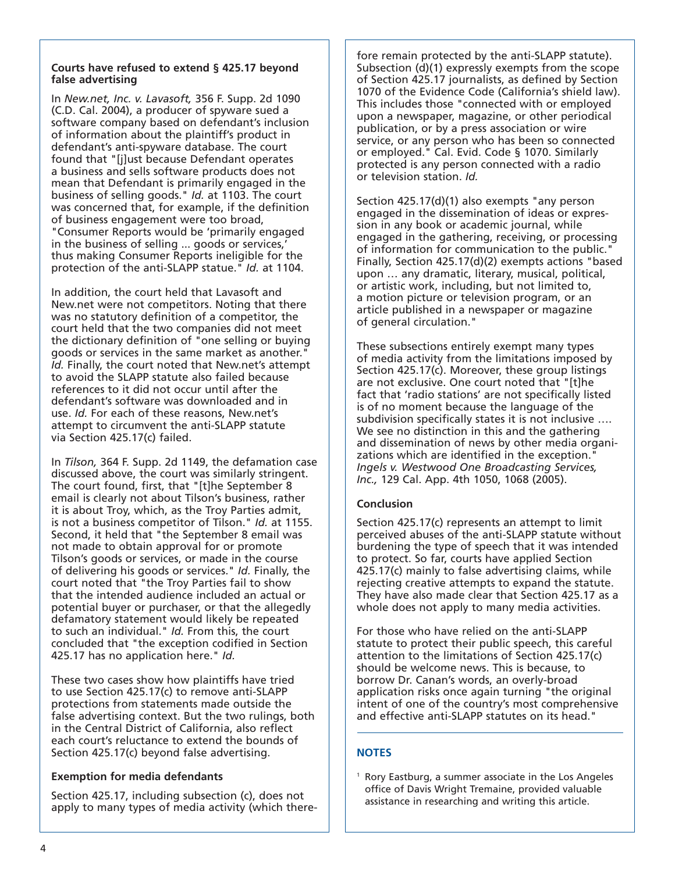#### **Courts have refused to extend § 425.17 beyond false advertising**

In *New.net, Inc. v. Lavasoft,* 356 F. Supp. 2d 1090 (C.D. Cal. 2004), a producer of spyware sued a software company based on defendant's inclusion of information about the plaintiff's product in defendant's anti-spyware database. The court found that "[j]ust because Defendant operates a business and sells software products does not mean that Defendant is primarily engaged in the business of selling goods." *Id.* at 1103. The court was concerned that, for example, if the definition of business engagement were too broad, "Consumer Reports would be 'primarily engaged in the business of selling ... goods or services,' thus making Consumer Reports ineligible for the protection of the anti-SLAPP statue." *Id.* at 1104.

In addition, the court held that Lavasoft and New.net were not competitors. Noting that there was no statutory definition of a competitor, the court held that the two companies did not meet the dictionary definition of "one selling or buying goods or services in the same market as another." *Id.* Finally, the court noted that New.net's attempt to avoid the SLAPP statute also failed because references to it did not occur until after the defendant's software was downloaded and in use. *Id.* For each of these reasons, New.net's attempt to circumvent the anti-SLAPP statute via Section 425.17(c) failed.

In *Tilson,* 364 F. Supp. 2d 1149, the defamation case discussed above, the court was similarly stringent. The court found, first, that "[t]he September 8 email is clearly not about Tilson's business, rather it is about Troy, which, as the Troy Parties admit, is not a business competitor of Tilson." *Id.* at 1155. Second, it held that "the September 8 email was not made to obtain approval for or promote Tilson's goods or services, or made in the course of delivering his goods or services." *Id.* Finally, the court noted that "the Troy Parties fail to show that the intended audience included an actual or potential buyer or purchaser, or that the allegedly defamatory statement would likely be repeated to such an individual." *Id.* From this, the court concluded that "the exception codified in Section 425.17 has no application here." *Id.*

These two cases show how plaintiffs have tried to use Section 425.17(c) to remove anti-SLAPP protections from statements made outside the false advertising context. But the two rulings, both in the Central District of California, also reflect each court's reluctance to extend the bounds of Section 425.17(c) beyond false advertising.

## **Exemption for media defendants**

Section 425.17, including subsection (c), does not apply to many types of media activity (which there-

fore remain protected by the anti-SLAPP statute). Subsection (d)(1) expressly exempts from the scope of Section 425.17 journalists, as defined by Section 1070 of the Evidence Code (California's shield law). This includes those "connected with or employed upon a newspaper, magazine, or other periodical publication, or by a press association or wire service, or any person who has been so connected or employed." Cal. Evid. Code § 1070. Similarly protected is any person connected with a radio or television station. *Id.*

Section 425.17(d)(1) also exempts "any person engaged in the dissemination of ideas or expression in any book or academic journal, while engaged in the gathering, receiving, or processing of information for communication to the public." Finally, Section 425.17(d)(2) exempts actions "based upon … any dramatic, literary, musical, political, or artistic work, including, but not limited to, a motion picture or television program, or an article published in a newspaper or magazine of general circulation."

These subsections entirely exempt many types of media activity from the limitations imposed by Section 425.17(c). Moreover, these group listings are not exclusive. One court noted that "[t]he fact that 'radio stations' are not specifically listed is of no moment because the language of the subdivision specifically states it is not inclusive …. We see no distinction in this and the gathering and dissemination of news by other media organizations which are identified in the exception." *Ingels v. Westwood One Broadcasting Services, Inc.,* 129 Cal. App. 4th 1050, 1068 (2005).

#### **Conclusion**

Section 425.17(c) represents an attempt to limit perceived abuses of the anti-SLAPP statute without burdening the type of speech that it was intended to protect. So far, courts have applied Section 425.17(c) mainly to false advertising claims, while rejecting creative attempts to expand the statute. They have also made clear that Section 425.17 as a whole does not apply to many media activities.

For those who have relied on the anti-SLAPP statute to protect their public speech, this careful attention to the limitations of Section 425.17(c) should be welcome news. This is because, to borrow Dr. Canan's words, an overly-broad application risks once again turning "the original intent of one of the country's most comprehensive and effective anti-SLAPP statutes on its head."

#### **NOTES**

 $1$  Rory Eastburg, a summer associate in the Los Angeles office of Davis Wright Tremaine, provided valuable assistance in researching and writing this article.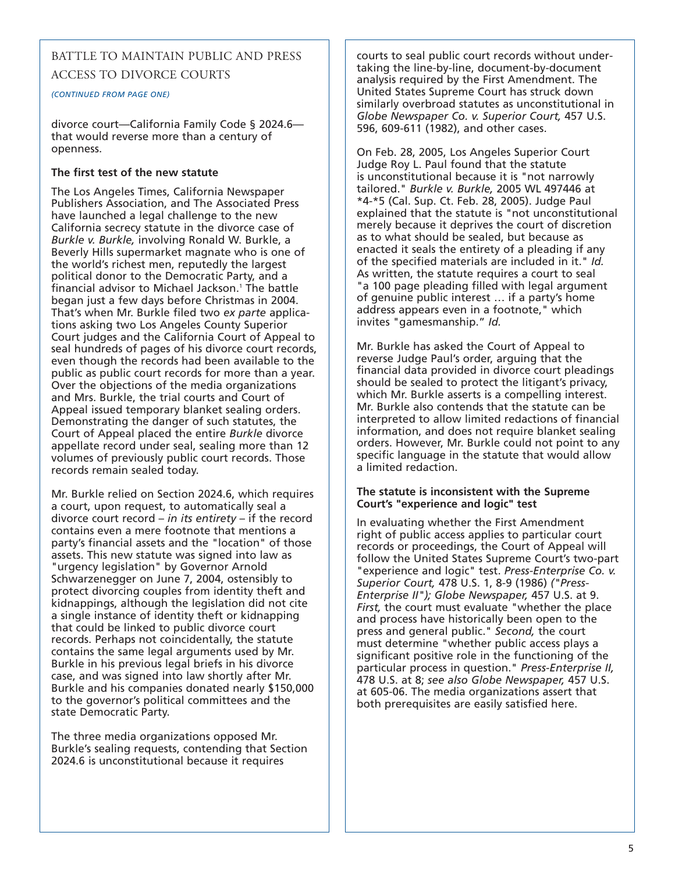## BATTLE TO MAINTAIN PUBLIC AND PRESS ACCESS TO DIVORCE COURTS

*(CONTINUED FROM PAGE ONE)*

divorce court—California Family Code § 2024.6 that would reverse more than a century of openness.

#### **The first test of the new statute**

The Los Angeles Times, California Newspaper Publishers Association, and The Associated Press have launched a legal challenge to the new California secrecy statute in the divorce case of *Burkle v. Burkle,* involving Ronald W. Burkle, a Beverly Hills supermarket magnate who is one of the world's richest men, reputedly the largest political donor to the Democratic Party, and a financial advisor to Michael Jackson.<sup>1</sup> The battle began just a few days before Christmas in 2004. That's when Mr. Burkle filed two *ex parte* applications asking two Los Angeles County Superior Court judges and the California Court of Appeal to seal hundreds of pages of his divorce court records, even though the records had been available to the public as public court records for more than a year. Over the objections of the media organizations and Mrs. Burkle, the trial courts and Court of Appeal issued temporary blanket sealing orders. Demonstrating the danger of such statutes, the Court of Appeal placed the entire *Burkle* divorce appellate record under seal, sealing more than 12 volumes of previously public court records. Those records remain sealed today.

Mr. Burkle relied on Section 2024.6, which requires a court, upon request, to automatically seal a divorce court record – *in its entirety* – if the record contains even a mere footnote that mentions a party's financial assets and the "location" of those assets. This new statute was signed into law as "urgency legislation" by Governor Arnold Schwarzenegger on June 7, 2004, ostensibly to protect divorcing couples from identity theft and kidnappings, although the legislation did not cite a single instance of identity theft or kidnapping that could be linked to public divorce court records. Perhaps not coincidentally, the statute contains the same legal arguments used by Mr. Burkle in his previous legal briefs in his divorce case, and was signed into law shortly after Mr. Burkle and his companies donated nearly \$150,000 to the governor's political committees and the state Democratic Party.

The three media organizations opposed Mr. Burkle's sealing requests, contending that Section 2024.6 is unconstitutional because it requires

courts to seal public court records without undertaking the line-by-line, document-by-document analysis required by the First Amendment. The United States Supreme Court has struck down similarly overbroad statutes as unconstitutional in *Globe Newspaper Co. v. Superior Court,* 457 U.S. 596, 609-611 (1982), and other cases.

On Feb. 28, 2005, Los Angeles Superior Court Judge Roy L. Paul found that the statute is unconstitutional because it is "not narrowly tailored." *Burkle v. Burkle,* 2005 WL 497446 at \*4-\*5 (Cal. Sup. Ct. Feb. 28, 2005). Judge Paul explained that the statute is "not unconstitutional merely because it deprives the court of discretion as to what should be sealed, but because as enacted it seals the entirety of a pleading if any of the specified materials are included in it." *Id.* As written, the statute requires a court to seal "a 100 page pleading filled with legal argument of genuine public interest … if a party's home address appears even in a footnote," which invites "gamesmanship." *Id.*

Mr. Burkle has asked the Court of Appeal to reverse Judge Paul's order, arguing that the financial data provided in divorce court pleadings should be sealed to protect the litigant's privacy, which Mr. Burkle asserts is a compelling interest. Mr. Burkle also contends that the statute can be interpreted to allow limited redactions of financial information, and does not require blanket sealing orders. However, Mr. Burkle could not point to any specific language in the statute that would allow a limited redaction.

#### **The statute is inconsistent with the Supreme Court's "experience and logic" test**

In evaluating whether the First Amendment right of public access applies to particular court records or proceedings, the Court of Appeal will follow the United States Supreme Court's two-part "experience and logic" test. *Press-Enterprise Co. v. Superior Court,* 478 U.S. 1, 8-9 (1986) *("Press-Enterprise II"); Globe Newspaper,* 457 U.S. at 9. *First,* the court must evaluate "whether the place and process have historically been open to the press and general public." *Second,* the court must determine "whether public access plays a significant positive role in the functioning of the particular process in question." *Press-Enterprise II,* 478 U.S. at 8; *see also Globe Newspaper,* 457 U.S. at 605-06. The media organizations assert that both prerequisites are easily satisfied here.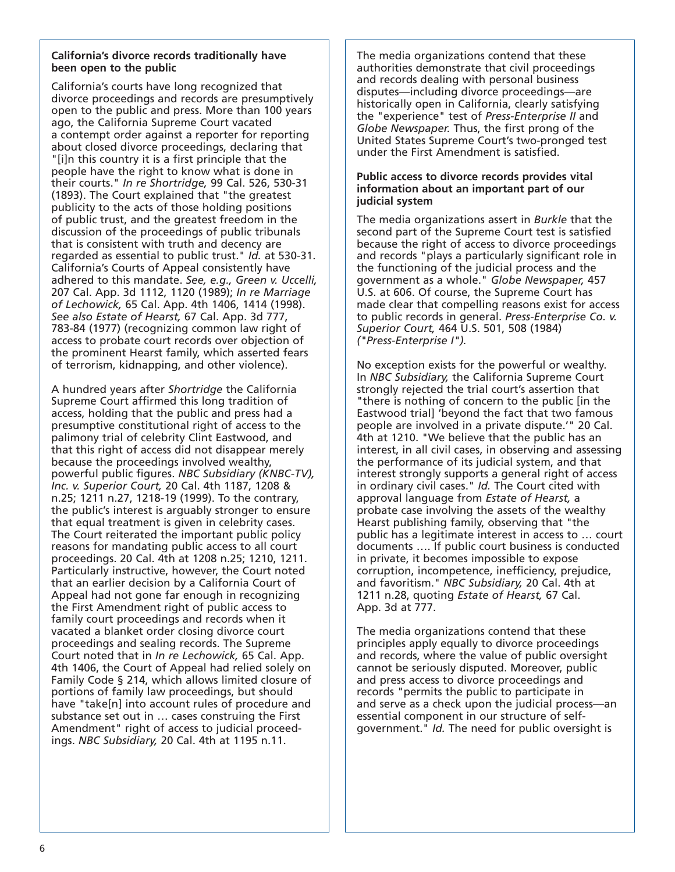#### **California's divorce records traditionally have been open to the public**

California's courts have long recognized that divorce proceedings and records are presumptively open to the public and press. More than 100 years ago, the California Supreme Court vacated a contempt order against a reporter for reporting about closed divorce proceedings, declaring that "[i]n this country it is a first principle that the people have the right to know what is done in their courts." *In re Shortridge,* 99 Cal. 526, 530-31 (1893). The Court explained that "the greatest publicity to the acts of those holding positions of public trust, and the greatest freedom in the discussion of the proceedings of public tribunals that is consistent with truth and decency are regarded as essential to public trust." *Id.* at 530-31. California's Courts of Appeal consistently have adhered to this mandate. *See, e.g., Green v. Uccelli,* 207 Cal. App. 3d 1112, 1120 (1989); *In re Marriage of Lechowick,* 65 Cal. App. 4th 1406, 1414 (1998). *See also Estate of Hearst,* 67 Cal. App. 3d 777, 783-84 (1977) (recognizing common law right of access to probate court records over objection of the prominent Hearst family, which asserted fears of terrorism, kidnapping, and other violence).

A hundred years after *Shortridge* the California Supreme Court affirmed this long tradition of access, holding that the public and press had a presumptive constitutional right of access to the palimony trial of celebrity Clint Eastwood, and that this right of access did not disappear merely because the proceedings involved wealthy, powerful public figures. *NBC Subsidiary (KNBC-TV), Inc. v. Superior Court,* 20 Cal. 4th 1187, 1208 & n.25; 1211 n.27, 1218-19 (1999). To the contrary, the public's interest is arguably stronger to ensure that equal treatment is given in celebrity cases. The Court reiterated the important public policy reasons for mandating public access to all court proceedings. 20 Cal. 4th at 1208 n.25; 1210, 1211. Particularly instructive, however, the Court noted that an earlier decision by a California Court of Appeal had not gone far enough in recognizing the First Amendment right of public access to family court proceedings and records when it vacated a blanket order closing divorce court proceedings and sealing records. The Supreme Court noted that in *In re Lechowick,* 65 Cal. App. 4th 1406, the Court of Appeal had relied solely on Family Code § 214, which allows limited closure of portions of family law proceedings, but should have "take[n] into account rules of procedure and substance set out in … cases construing the First Amendment" right of access to judicial proceedings. *NBC Subsidiary,* 20 Cal. 4th at 1195 n.11.

The media organizations contend that these authorities demonstrate that civil proceedings and records dealing with personal business disputes—including divorce proceedings—are historically open in California, clearly satisfying the "experience" test of *Press-Enterprise II* and *Globe Newspaper.* Thus, the first prong of the United States Supreme Court's two-pronged test under the First Amendment is satisfied.

#### **Public access to divorce records provides vital information about an important part of our judicial system**

The media organizations assert in *Burkle* that the second part of the Supreme Court test is satisfied because the right of access to divorce proceedings and records "plays a particularly significant role in the functioning of the judicial process and the government as a whole." *Globe Newspaper,* 457 U.S. at 606. Of course, the Supreme Court has made clear that compelling reasons exist for access to public records in general. *Press-Enterprise Co. v. Superior Court,* 464 U.S. 501, 508 (1984) *("Press-Enterprise I").*

No exception exists for the powerful or wealthy. In *NBC Subsidiary,* the California Supreme Court strongly rejected the trial court's assertion that "there is nothing of concern to the public [in the Eastwood trial] 'beyond the fact that two famous people are involved in a private dispute.'" 20 Cal. 4th at 1210. "We believe that the public has an interest, in all civil cases, in observing and assessing the performance of its judicial system, and that interest strongly supports a general right of access in ordinary civil cases." *Id.* The Court cited with approval language from *Estate of Hearst,* a probate case involving the assets of the wealthy Hearst publishing family, observing that "the public has a legitimate interest in access to … court documents …. If public court business is conducted in private, it becomes impossible to expose corruption, incompetence, inefficiency, prejudice, and favoritism." *NBC Subsidiary,* 20 Cal. 4th at 1211 n.28, quoting *Estate of Hearst,* 67 Cal. App. 3d at 777.

The media organizations contend that these principles apply equally to divorce proceedings and records, where the value of public oversight cannot be seriously disputed. Moreover, public and press access to divorce proceedings and records "permits the public to participate in and serve as a check upon the judicial process—an essential component in our structure of selfgovernment." *Id.* The need for public oversight is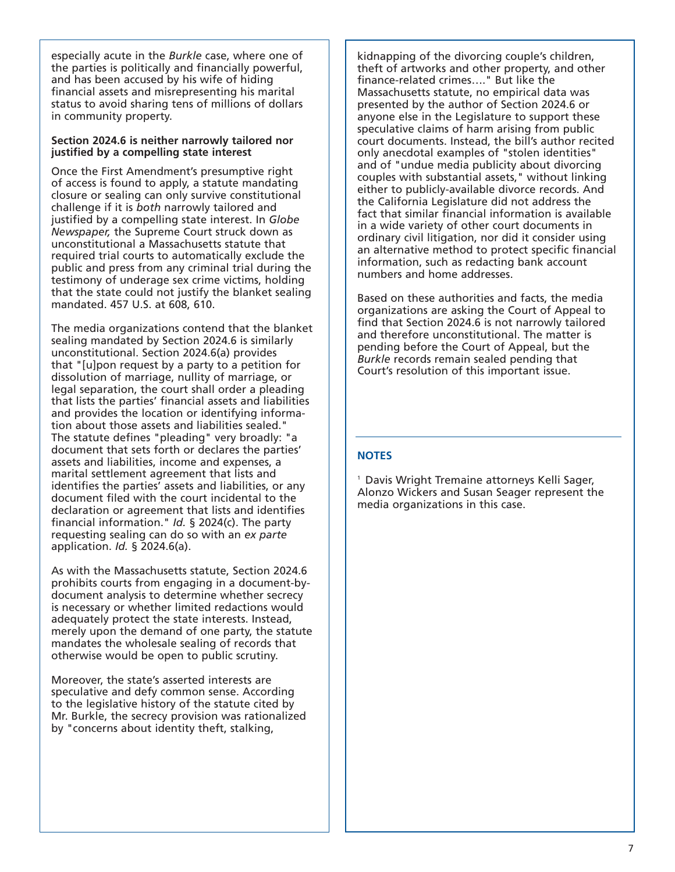especially acute in the *Burkle* case, where one of the parties is politically and financially powerful, and has been accused by his wife of hiding financial assets and misrepresenting his marital status to avoid sharing tens of millions of dollars in community property.

#### **Section 2024.6 is neither narrowly tailored nor justified by a compelling state interest**

Once the First Amendment's presumptive right of access is found to apply, a statute mandating closure or sealing can only survive constitutional challenge if it is *both* narrowly tailored and justified by a compelling state interest. In *Globe Newspaper,* the Supreme Court struck down as unconstitutional a Massachusetts statute that required trial courts to automatically exclude the public and press from any criminal trial during the testimony of underage sex crime victims, holding that the state could not justify the blanket sealing mandated. 457 U.S. at 608, 610.

The media organizations contend that the blanket sealing mandated by Section 2024.6 is similarly unconstitutional. Section 2024.6(a) provides that "[u]pon request by a party to a petition for dissolution of marriage, nullity of marriage, or legal separation, the court shall order a pleading that lists the parties' financial assets and liabilities and provides the location or identifying information about those assets and liabilities sealed." The statute defines "pleading" very broadly: "a document that sets forth or declares the parties' assets and liabilities, income and expenses, a marital settlement agreement that lists and identifies the parties' assets and liabilities, or any document filed with the court incidental to the declaration or agreement that lists and identifies financial information." *Id.* § 2024(c). The party requesting sealing can do so with an *ex parte* application. *Id.* § 2024.6(a).

As with the Massachusetts statute, Section 2024.6 prohibits courts from engaging in a document-bydocument analysis to determine whether secrecy is necessary or whether limited redactions would adequately protect the state interests. Instead, merely upon the demand of one party, the statute mandates the wholesale sealing of records that otherwise would be open to public scrutiny.

Moreover, the state's asserted interests are speculative and defy common sense. According to the legislative history of the statute cited by Mr. Burkle, the secrecy provision was rationalized by "concerns about identity theft, stalking,

kidnapping of the divorcing couple's children, theft of artworks and other property, and other finance-related crimes…." But like the Massachusetts statute, no empirical data was presented by the author of Section 2024.6 or anyone else in the Legislature to support these speculative claims of harm arising from public court documents. Instead, the bill's author recited only anecdotal examples of "stolen identities" and of "undue media publicity about divorcing couples with substantial assets," without linking either to publicly-available divorce records. And the California Legislature did not address the fact that similar financial information is available in a wide variety of other court documents in ordinary civil litigation, nor did it consider using an alternative method to protect specific financial information, such as redacting bank account numbers and home addresses.

Based on these authorities and facts, the media organizations are asking the Court of Appeal to find that Section 2024.6 is not narrowly tailored and therefore unconstitutional. The matter is pending before the Court of Appeal, but the *Burkle* records remain sealed pending that Court's resolution of this important issue.

#### **NOTES**

1 Davis Wright Tremaine attorneys Kelli Sager, Alonzo Wickers and Susan Seager represent the media organizations in this case.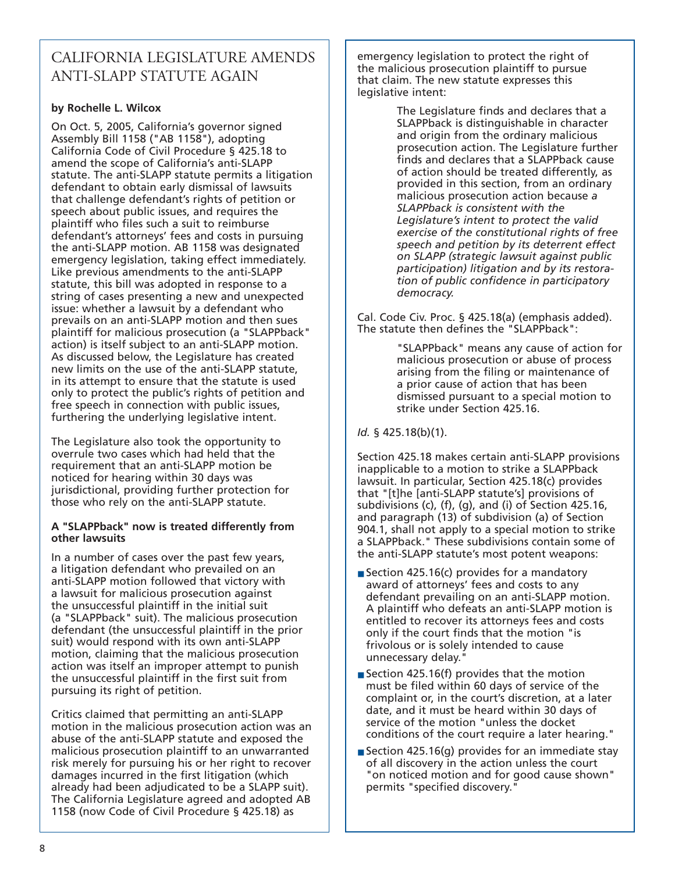# CALIFORNIA LEGISLATURE AMENDS ANTI-SLAPP STATUTE AGAIN

## **by Rochelle L. Wilcox**

On Oct. 5, 2005, California's governor signed Assembly Bill 1158 ("AB 1158"), adopting California Code of Civil Procedure § 425.18 to amend the scope of California's anti-SLAPP statute. The anti-SLAPP statute permits a litigation defendant to obtain early dismissal of lawsuits that challenge defendant's rights of petition or speech about public issues, and requires the plaintiff who files such a suit to reimburse defendant's attorneys' fees and costs in pursuing the anti-SLAPP motion. AB 1158 was designated emergency legislation, taking effect immediately. Like previous amendments to the anti-SLAPP statute, this bill was adopted in response to a string of cases presenting a new and unexpected issue: whether a lawsuit by a defendant who prevails on an anti-SLAPP motion and then sues plaintiff for malicious prosecution (a "SLAPPback" action) is itself subject to an anti-SLAPP motion. As discussed below, the Legislature has created new limits on the use of the anti-SLAPP statute, in its attempt to ensure that the statute is used only to protect the public's rights of petition and free speech in connection with public issues, furthering the underlying legislative intent.

The Legislature also took the opportunity to overrule two cases which had held that the requirement that an anti-SLAPP motion be noticed for hearing within 30 days was jurisdictional, providing further protection for those who rely on the anti-SLAPP statute.

### **A "SLAPPback" now is treated differently from other lawsuits**

In a number of cases over the past few years, a litigation defendant who prevailed on an anti-SLAPP motion followed that victory with a lawsuit for malicious prosecution against the unsuccessful plaintiff in the initial suit (a "SLAPPback" suit). The malicious prosecution defendant (the unsuccessful plaintiff in the prior suit) would respond with its own anti-SLAPP motion, claiming that the malicious prosecution action was itself an improper attempt to punish the unsuccessful plaintiff in the first suit from pursuing its right of petition.

Critics claimed that permitting an anti-SLAPP motion in the malicious prosecution action was an abuse of the anti-SLAPP statute and exposed the malicious prosecution plaintiff to an unwarranted risk merely for pursuing his or her right to recover damages incurred in the first litigation (which already had been adjudicated to be a SLAPP suit). The California Legislature agreed and adopted AB 1158 (now Code of Civil Procedure § 425.18) as

emergency legislation to protect the right of the malicious prosecution plaintiff to pursue that claim. The new statute expresses this legislative intent:

> The Legislature finds and declares that a SLAPPback is distinguishable in character and origin from the ordinary malicious prosecution action. The Legislature further finds and declares that a SLAPPback cause of action should be treated differently, as provided in this section, from an ordinary malicious prosecution action because *a SLAPPback is consistent with the Legislature's intent to protect the valid exercise of the constitutional rights of free speech and petition by its deterrent effect on SLAPP (strategic lawsuit against public participation) litigation and by its restoration of public confidence in participatory democracy.*

Cal. Code Civ. Proc. § 425.18(a) (emphasis added). The statute then defines the "SLAPPback":

> "SLAPPback" means any cause of action for malicious prosecution or abuse of process arising from the filing or maintenance of a prior cause of action that has been dismissed pursuant to a special motion to strike under Section 425.16.

### *Id.* § 425.18(b)(1).

Section 425.18 makes certain anti-SLAPP provisions inapplicable to a motion to strike a SLAPPback lawsuit. In particular, Section 425.18(c) provides that "[t]he [anti-SLAPP statute's] provisions of subdivisions (c), (f), (g), and (i) of Section 425.16, and paragraph (13) of subdivision (a) of Section 904.1, shall not apply to a special motion to strike a SLAPPback." These subdivisions contain some of the anti-SLAPP statute's most potent weapons:

- Section 425.16(c) provides for a mandatory award of attorneys' fees and costs to any defendant prevailing on an anti-SLAPP motion. A plaintiff who defeats an anti-SLAPP motion is entitled to recover its attorneys fees and costs only if the court finds that the motion "is frivolous or is solely intended to cause unnecessary delay."
- Section 425.16(f) provides that the motion must be filed within 60 days of service of the complaint or, in the court's discretion, at a later date, and it must be heard within 30 days of service of the motion "unless the docket conditions of the court require a later hearing."
- Section 425.16(g) provides for an immediate stay of all discovery in the action unless the court "on noticed motion and for good cause shown" permits "specified discovery."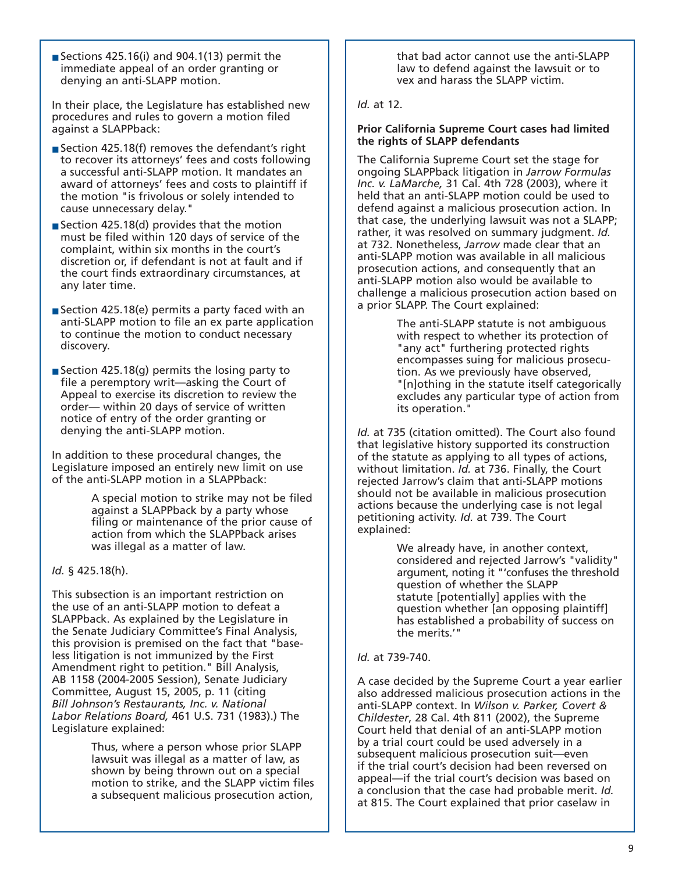Sections 425.16(i) and 904.1(13) permit the immediate appeal of an order granting or denying an anti-SLAPP motion.

In their place, the Legislature has established new procedures and rules to govern a motion filed against a SLAPPback:

- Section 425.18(f) removes the defendant's right to recover its attorneys' fees and costs following a successful anti-SLAPP motion. It mandates an award of attorneys' fees and costs to plaintiff if the motion "is frivolous or solely intended to cause unnecessary delay."
- Section 425.18(d) provides that the motion must be filed within 120 days of service of the complaint, within six months in the court's discretion or, if defendant is not at fault and if the court finds extraordinary circumstances, at any later time.
- Section 425.18(e) permits a party faced with an anti-SLAPP motion to file an ex parte application to continue the motion to conduct necessary discovery.
- Section 425.18(g) permits the losing party to file a peremptory writ—asking the Court of Appeal to exercise its discretion to review the order— within 20 days of service of written notice of entry of the order granting or denying the anti-SLAPP motion.

In addition to these procedural changes, the Legislature imposed an entirely new limit on use of the anti-SLAPP motion in a SLAPPback:

> A special motion to strike may not be filed against a SLAPPback by a party whose filing or maintenance of the prior cause of action from which the SLAPPback arises was illegal as a matter of law.

#### *Id.* § 425.18(h).

This subsection is an important restriction on the use of an anti-SLAPP motion to defeat a SLAPPback. As explained by the Legislature in the Senate Judiciary Committee's Final Analysis, this provision is premised on the fact that "baseless litigation is not immunized by the First Amendment right to petition." Bill Analysis, AB 1158 (2004-2005 Session), Senate Judiciary Committee, August 15, 2005, p. 11 (citing *Bill Johnson's Restaurants, Inc. v. National Labor Relations Board,* 461 U.S. 731 (1983).) The Legislature explained:

> Thus, where a person whose prior SLAPP lawsuit was illegal as a matter of law, as shown by being thrown out on a special motion to strike, and the SLAPP victim files a subsequent malicious prosecution action,

that bad actor cannot use the anti-SLAPP law to defend against the lawsuit or to vex and harass the SLAPP victim.

#### *Id.* at 12.

#### **Prior California Supreme Court cases had limited the rights of SLAPP defendants**

The California Supreme Court set the stage for ongoing SLAPPback litigation in *Jarrow Formulas Inc. v. LaMarche,* 31 Cal. 4th 728 (2003), where it held that an anti-SLAPP motion could be used to defend against a malicious prosecution action. In that case, the underlying lawsuit was not a SLAPP; rather, it was resolved on summary judgment. *Id.* at 732. Nonetheless, *Jarrow* made clear that an anti-SLAPP motion was available in all malicious prosecution actions, and consequently that an anti-SLAPP motion also would be available to challenge a malicious prosecution action based on a prior SLAPP. The Court explained:

> The anti-SLAPP statute is not ambiguous with respect to whether its protection of "any act" furthering protected rights encompasses suing for malicious prosecution. As we previously have observed, "[n]othing in the statute itself categorically excludes any particular type of action from its operation."

*Id.* at 735 (citation omitted). The Court also found that legislative history supported its construction of the statute as applying to all types of actions, without limitation. *Id.* at 736. Finally, the Court rejected Jarrow's claim that anti-SLAPP motions should not be available in malicious prosecution actions because the underlying case is not legal petitioning activity. *Id.* at 739. The Court explained:

> We already have, in another context, considered and rejected Jarrow's "validity" argument, noting it "'confuses the threshold question of whether the SLAPP statute [potentially] applies with the question whether [an opposing plaintiff] has established a probability of success on the merits.'"

#### *Id.* at 739-740.

A case decided by the Supreme Court a year earlier also addressed malicious prosecution actions in the anti-SLAPP context. In *Wilson v. Parker, Covert & Childester*, 28 Cal. 4th 811 (2002), the Supreme Court held that denial of an anti-SLAPP motion by a trial court could be used adversely in a subsequent malicious prosecution suit—even if the trial court's decision had been reversed on appeal—if the trial court's decision was based on a conclusion that the case had probable merit. *Id.* at 815. The Court explained that prior caselaw in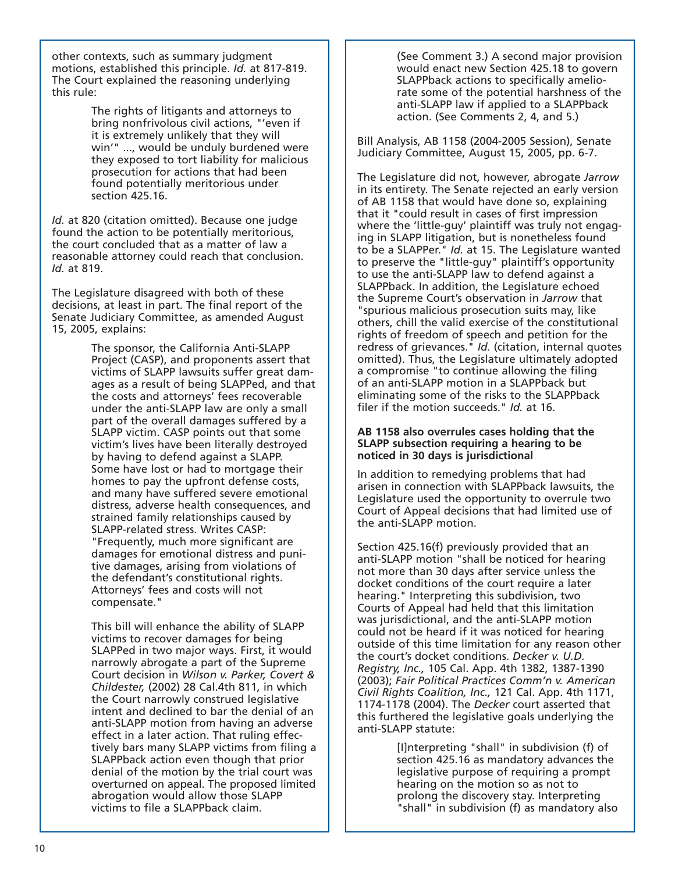other contexts, such as summary judgment motions, established this principle. *Id.* at 817-819. The Court explained the reasoning underlying this rule:

> The rights of litigants and attorneys to bring nonfrivolous civil actions, "'even if it is extremely unlikely that they will win'" ..., would be unduly burdened were they exposed to tort liability for malicious prosecution for actions that had been found potentially meritorious under section 425.16.

*Id.* at 820 (citation omitted). Because one judge found the action to be potentially meritorious, the court concluded that as a matter of law a reasonable attorney could reach that conclusion. *Id.* at 819.

The Legislature disagreed with both of these decisions, at least in part. The final report of the Senate Judiciary Committee, as amended August 15, 2005, explains:

> The sponsor, the California Anti-SLAPP Project (CASP), and proponents assert that victims of SLAPP lawsuits suffer great damages as a result of being SLAPPed, and that the costs and attorneys' fees recoverable under the anti-SLAPP law are only a small part of the overall damages suffered by a SLAPP victim. CASP points out that some victim's lives have been literally destroyed by having to defend against a SLAPP. Some have lost or had to mortgage their homes to pay the upfront defense costs, and many have suffered severe emotional distress, adverse health consequences, and strained family relationships caused by SLAPP-related stress. Writes CASP: "Frequently, much more significant are damages for emotional distress and punitive damages, arising from violations of the defendant's constitutional rights. Attorneys' fees and costs will not compensate."

> This bill will enhance the ability of SLAPP victims to recover damages for being SLAPPed in two major ways. First, it would narrowly abrogate a part of the Supreme Court decision in *Wilson v. Parker, Covert & Childester,* (2002) 28 Cal.4th 811, in which the Court narrowly construed legislative intent and declined to bar the denial of an anti-SLAPP motion from having an adverse effect in a later action. That ruling effectively bars many SLAPP victims from filing a SLAPPback action even though that prior denial of the motion by the trial court was overturned on appeal. The proposed limited abrogation would allow those SLAPP victims to file a SLAPPback claim.

(See Comment 3.) A second major provision would enact new Section 425.18 to govern SLAPPback actions to specifically ameliorate some of the potential harshness of the anti-SLAPP law if applied to a SLAPPback action. (See Comments 2, 4, and 5.)

Bill Analysis, AB 1158 (2004-2005 Session), Senate Judiciary Committee, August 15, 2005, pp. 6-7.

The Legislature did not, however, abrogate *Jarrow* in its entirety. The Senate rejected an early version of AB 1158 that would have done so, explaining that it "could result in cases of first impression where the 'little-guy' plaintiff was truly not engaging in SLAPP litigation, but is nonetheless found to be a SLAPPer." *Id.* at 15. The Legislature wanted to preserve the "little-guy" plaintiff's opportunity to use the anti-SLAPP law to defend against a SLAPPback. In addition, the Legislature echoed the Supreme Court's observation in *Jarrow* that "spurious malicious prosecution suits may, like others, chill the valid exercise of the constitutional rights of freedom of speech and petition for the redress of grievances." *Id.* (citation, internal quotes omitted). Thus, the Legislature ultimately adopted a compromise "to continue allowing the filing of an anti-SLAPP motion in a SLAPPback but eliminating some of the risks to the SLAPPback filer if the motion succeeds." *Id.* at 16.

#### **AB 1158 also overrules cases holding that the SLAPP subsection requiring a hearing to be noticed in 30 days is jurisdictional**

In addition to remedying problems that had arisen in connection with SLAPPback lawsuits, the Legislature used the opportunity to overrule two Court of Appeal decisions that had limited use of the anti-SLAPP motion.

Section 425.16(f) previously provided that an anti-SLAPP motion "shall be noticed for hearing not more than 30 days after service unless the docket conditions of the court require a later hearing." Interpreting this subdivision, two Courts of Appeal had held that this limitation was jurisdictional, and the anti-SLAPP motion could not be heard if it was noticed for hearing outside of this time limitation for any reason other the court's docket conditions. *Decker v. U.D. Registry, Inc.,* 105 Cal. App. 4th 1382, 1387-1390 (2003); *Fair Political Practices Comm'n v. American Civil Rights Coalition, Inc.,* 121 Cal. App. 4th 1171, 1174-1178 (2004). The *Decker* court asserted that this furthered the legislative goals underlying the anti-SLAPP statute:

> [I]nterpreting "shall" in subdivision (f) of section 425.16 as mandatory advances the legislative purpose of requiring a prompt hearing on the motion so as not to prolong the discovery stay. Interpreting "shall" in subdivision (f) as mandatory also